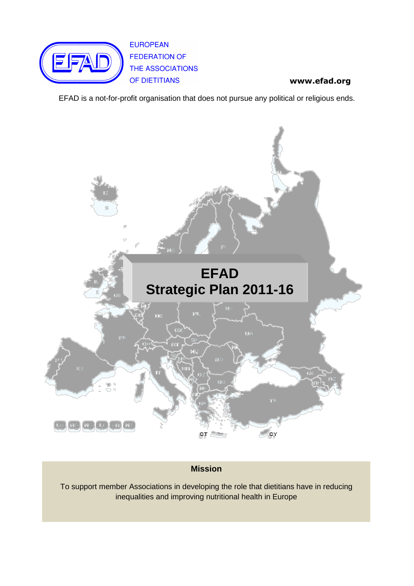

**EUROPEAN FEDERATION OF** THE ASSOCIATIONS OF DIETITIANS

**www.efad.org**

EFAD is a not-for-profit organisation that does not pursue any political or religious ends.



**Mission**

To support member Associations in developing the role that dietitians have in reducing inequalities and improving nutritional health in Europe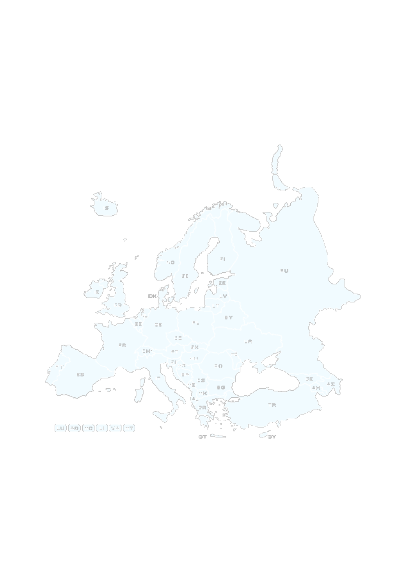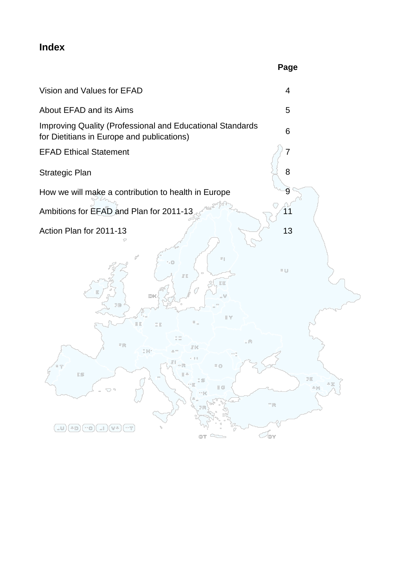# **Index**

# **Page**

İογ

от

| Vision and Values for EFAD                                                                                     |    |
|----------------------------------------------------------------------------------------------------------------|----|
| About EFAD and its Aims                                                                                        | 5  |
| <b>Improving Quality (Professional and Educational Standards</b><br>for Dietitians in Europe and publications) | 6  |
| <b>EFAD Ethical Statement</b>                                                                                  |    |
| <b>Strategic Plan</b>                                                                                          | 8  |
| How we will make a contribution to health in Europe                                                            | 9  |
| Ambitions for EFAD and Plan for 2011-13                                                                        | 11 |
| Action Plan for 2011-13                                                                                        | 13 |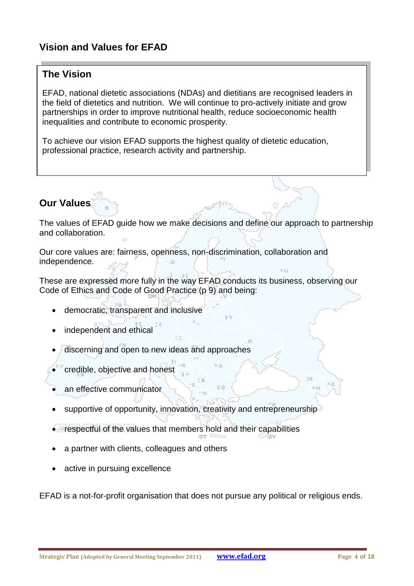## **Vision and Values for EFAD**

#### **The Vision**

EFAD, national dietetic associations (NDAs) and dietitians are recognised leaders in the field of dietetics and nutrition. We will continue to pro-actively initiate and grow partnerships in order to improve nutritional health, reduce socioeconomic health inequalities and contribute to economic prosperity.

To achieve our vision EFAD supports the highest quality of dietetic education, professional practice, research activity and partnership.

#### **Our Values**

The values of EFAD guide how we make decisions and define our approach to partnership and collaboration.

Our core values are: fairness, openness, non-discrimination, collaboration and independence.

These are expressed more fully in the way EFAD conducts its business, observing our Code of Ethics and Code of Good Practice (p 9) and being:

- democratic, transparent and inclusive
- independent and ethical
- discerning and open to new ideas and approaches
- credible, objective and honest
- an effective communicator
- supportive of opportunity, innovation, creativity and entrepreneurship
- respectful of the values that members hold and their capabilities
- a partner with clients, colleagues and others
- active in pursuing excellence

EFAD is a not-for-profit organisation that does not pursue any political or religious ends.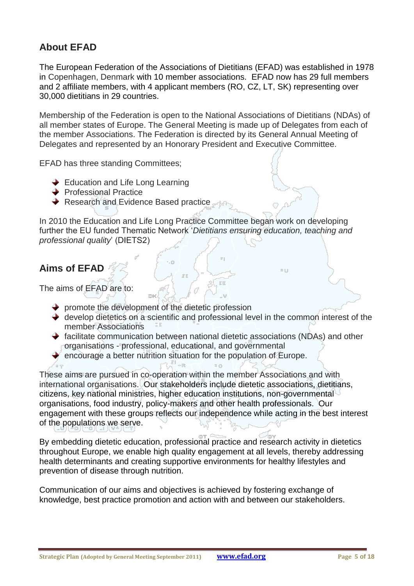## **About EFAD**

The European Federation of the Associations of Dietitians (EFAD) was established in 1978 in Copenhagen, Denmark with 10 member associations. EFAD now has 29 full members and 2 affiliate members, with 4 applicant members (RO, CZ, LT, SK) representing over 30,000 dietitians in 29 countries.

Membership of the Federation is open to the National Associations of Dietitians (NDAs) of all member states of Europe. The General Meeting is made up of Delegates from each of the member Associations. The Federation is directed by its General Annual Meeting of Delegates and represented by an Honorary President and Executive Committee.

EFAD has three standing Committees;

- $\rightarrow$  Education and Life Long Learning
- **→** Professional Practice
- Research and Evidence Based practice

In 2010 the Education and Life Long Practice Committee began work on developing further the EU funded Thematic Network '*Dietitians ensuring education, teaching and professional quality*' (DIETS2)

## **Aims of EFAD**

The aims of EFAD are to:

- $\rightarrow$  promote the development of the dietetic profession
- $\rightarrow$  develop dietetics on a scientific and professional level in the common interest of the member Associations
- $\rightarrow$  facilitate communication between national dietetic associations (NDAs) and other organisations - professional, educational, and governmental
- $\rightarrow$  encourage a better nutrition situation for the population of Europe.

These aims are pursued in co-operation within the member Associations and with international organisations. Our stakeholders include dietetic associations, dietitians, citizens, key national ministries, higher education institutions, non-governmental organisations, food industry, policy-makers and other health professionals. Our engagement with these groups reflects our independence while acting in the best interest of the populations we serve.

By embedding dietetic education, professional practice and research activity in dietetics throughout Europe, we enable high quality engagement at all levels, thereby addressing health determinants and creating supportive environments for healthy lifestyles and prevention of disease through nutrition.

Communication of our aims and objectives is achieved by fostering exchange of knowledge, best practice promotion and action with and between our stakeholders.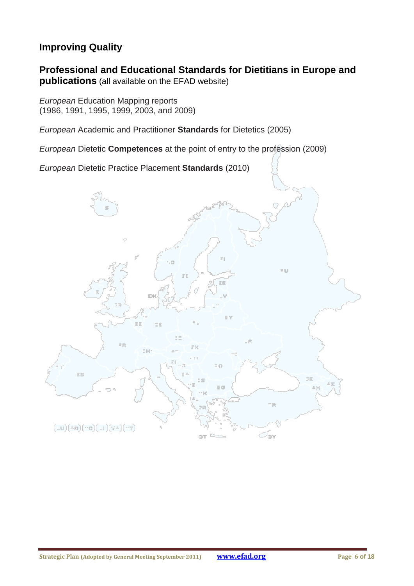## **Improving Quality**

## **Professional and Educational Standards for Dietitians in Europe and publications** (all available on the EFAD website)

*European* Education Mapping reports (1986, 1991, 1995, 1999, 2003, and 2009)

*European* Academic and Practitioner **Standards** for Dietetics (2005)

*European* Dietetic **Competences** at the point of entry to the profession (2009)

*European* Dietetic Practice Placement **Standards** (2010)

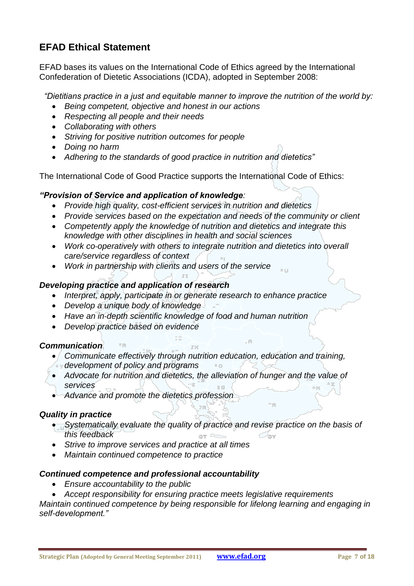## **EFAD Ethical Statement**

EFAD bases its values on the International Code of Ethics agreed by the International Confederation of Dietetic Associations (ICDA), adopted in September 2008:

*"Dietitians practice in a just and equitable manner to improve the nutrition of the world by:*

- *Being competent, objective and honest in our actions*
- *Respecting all people and their needs*
- *Collaborating with others*
- *Striving for positive nutrition outcomes for people*
- *Doing no harm*
- *Adhering to the standards of good practice in nutrition and dietetics"*

The International Code of Good Practice supports the International Code of Ethics:

#### *"Provision of Service and application of knowledge:*

- *Provide high quality, cost-efficient services in nutrition and dietetics*
- *Provide services based on the expectation and needs of the community or client*
- *Competently apply the knowledge of nutrition and dietetics and integrate this knowledge with other disciplines in health and social sciences*
- *Work co‐operatively with others to integrate nutrition and dietetics into overall care/service regardless of context*
- *Work in partnership with clients and users of the service*

#### *Developing practice and application of research*

- *Interpret, apply, participate in or generate research to enhance practice*
- *Develop a unique body of knowledge*
- *Have an in‐depth scientific knowledge of food and human nutrition*
- *Develop practice based on evidence*

#### *Communication*

- *Communicate effectively through nutrition education, education and training, development of policy and programs*
- *Advocate for nutrition and dietetics, the alleviation of hunger and the value of services*
- *Advance and promote the dietetics profession*

#### *Quality in practice*

- *Systematically evaluate the quality of practice and revise practice on the basis of this feedback*
- *Strive to improve services and practice at all times*
- *Maintain continued competence to practice*

#### *Continued competence and professional accountability*

- *Ensure accountability to the public*
- *Accept responsibility for ensuring practice meets legislative requirements*

*Maintain continued competence by being responsible for lifelong learning and engaging in self-development."*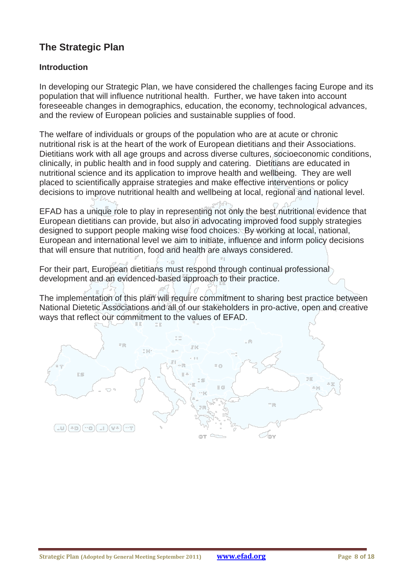## **The Strategic Plan**

#### **Introduction**

In developing our Strategic Plan, we have considered the challenges facing Europe and its population that will influence nutritional health. Further, we have taken into account foreseeable changes in demographics, education, the economy, technological advances, and the review of European policies and sustainable supplies of food.

The welfare of individuals or groups of the population who are at acute or chronic nutritional risk is at the heart of the work of European dietitians and their Associations. Dietitians work with all age groups and across diverse cultures, socioeconomic conditions, clinically, in public health and in food supply and catering. Dietitians are educated in nutritional science and its application to improve health and wellbeing. They are well placed to scientifically appraise strategies and make effective interventions or policy decisions to improve nutritional health and wellbeing at local, regional and national level.

EFAD has a unique role to play in representing not only the best nutritional evidence that European dietitians can provide, but also in advocating improved food supply strategies designed to support people making wise food choices. By working at local, national, European and international level we aim to initiate, influence and inform policy decisions that will ensure that nutrition, food and health are always considered.

For their part, European dietitians must respond through continual professional development and an evidenced-based approach to their practice.

The implementation of this plan will require commitment to sharing best practice between National Dietetic Associations and all of our stakeholders in pro-active, open and creative ways that reflect our commitment to the values of EFAD.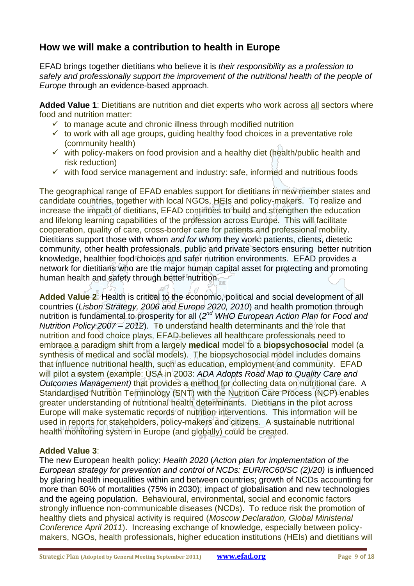## **How we will make a contribution to health in Europe**

EFAD brings together dietitians who believe it is *their responsibility as a profession to safely and professionally support the improvement of the nutritional health of the people of Europe* through an evidence-based approach.

Added Value 1: Dietitians are nutrition and diet experts who work across all sectors where food and nutrition matter:

- $\checkmark$  to manage acute and chronic illness through modified nutrition
- $\checkmark$  to work with all age groups, guiding healthy food choices in a preventative role (community health)
- $\checkmark$  with policy-makers on food provision and a healthy diet (health/public health and risk reduction)
- $\checkmark$  with food service management and industry: safe, informed and nutritious foods

The geographical range of EFAD enables support for dietitians in new member states and candidate countries, together with local NGOs, HEIs and policy-makers. To realize and increase the impact of dietitians, EFAD continues to build and strengthen the education and lifelong learning capabilities of the profession across Europe. This will facilitate cooperation, quality of care, cross-border care for patients and professional mobility. Dietitians support those with whom *and for who*m they work: patients, clients, dietetic community, other health professionals, public and private sectors ensuring better nutrition knowledge, healthier food choices and safer nutrition environments. EFAD provides a network for dietitians who are the major human capital asset for protecting and promoting human health and safety through better nutrition.

**Added Value 2**: Health is critical to the economic, political and social development of all countries (*Lisbon Strategy, 2006 and Europe 2020, 2010*) and health promotion through nutrition is fundamental to prosperity for all (2<sup>nd</sup> WHO European Action Plan for Food and *Nutrition Policy 2007 – 2012*). To understand health determinants and the role that nutrition and food choice plays, EFAD believes all healthcare professionals need to embrace a paradigm shift from a largely **medical** model to a **biopsychosocial** model (a synthesis of medical and social models). The biopsychosocial model includes domains that influence nutritional health, such as education, employment and community. EFAD will pilot a system (example: USA in 2003: *ADA Adopts Road Map to Quality Care and Outcomes Management)* that provides a method for collecting data on nutritional care. A Standardised Nutrition Terminology (SNT) with the Nutrition Care Process (NCP) enables greater understanding of nutritional health determinants. Dietitians in the pilot across Europe will make systematic records of nutrition interventions. This information will be used in reports for stakeholders, policy-makers and citizens. A sustainable nutritional health monitoring system in Europe (and globally) could be created.

#### **Added Value 3**:

The new European health policy: *Health 2020* (*Action plan for implementation of the European strategy for prevention and control of NCDs: EUR/RC60/SC (2)/20)* is influenced by glaring health inequalities within and between countries; growth of NCDs accounting for more than 60% of mortalities (75% in 2030); impact of globalisation and new technologies and the ageing population. Behavioural, environmental, social and economic factors strongly influence non-communicable diseases (NCDs). To reduce risk the promotion of healthy diets and physical activity is required (*Moscow Declaration, Global Ministerial Conference April 2011*). Increasing exchange of knowledge, especially between policymakers, NGOs, health professionals, higher education institutions (HEIs) and dietitians will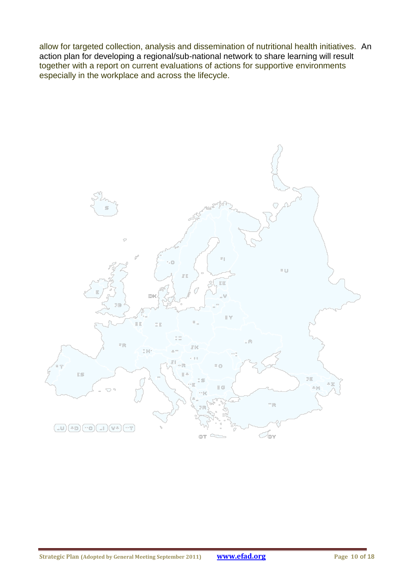allow for targeted collection, analysis and dissemination of nutritional health initiatives. An action plan for developing a regional/sub-national network to share learning will result together with a report on current evaluations of actions for supportive environments especially in the workplace and across the lifecycle.

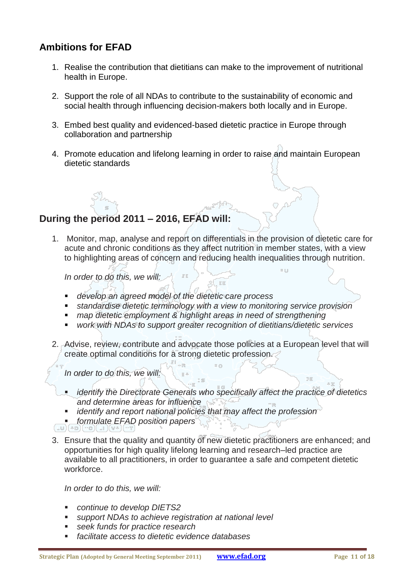## **Ambitions for EFAD**

- 1. Realise the contribution that dietitians can make to the improvement of nutritional health in Europe.
- 2. Support the role of all NDAs to contribute to the sustainability of economic and social health through influencing decision-makers both locally and in Europe.
- 3. Embed best quality and evidenced-based dietetic practice in Europe through collaboration and partnership
- 4. Promote education and lifelong learning in order to raise and maintain European dietetic standards

## **During the period 2011 – 2016, EFAD will:**

1. Monitor, map, analyse and report on differentials in the provision of dietetic care for acute and chronic conditions as they affect nutrition in member states, with a view to highlighting areas of concern and reducing health inequalities through nutrition.

*In order to do this, we will:*

- *develop an agreed model of the dietetic care process*
- *standardise dietetic terminology with a view to monitoring service provision*
- *map dietetic employment & highlight areas in need of strengthening*
- *work with NDAs to support greater recognition of dietitians/dietetic services*
- 2. Advise, review, contribute and advocate those policies at a European level that will create optimal conditions for a strong dietetic profession.

*In order to do this, we will:*

- *identify the Directorate Generals who specifically affect the practice of dietetics and determine areas for influence*
- *identify and report national policies that may affect the profession*
- *formulate EFAD position papers*
- 3. Ensure that the quality and quantity of new dietetic practitioners are enhanced; and opportunities for high quality lifelong learning and research–led practice are available to all practitioners, in order to guarantee a safe and competent dietetic workforce.

*In order to do this, we will:*

- *continue to develop DIETS2*
- *support NDAs to achieve registration at national level*
- *seek funds for practice research*
- *facilitate access to dietetic evidence databases*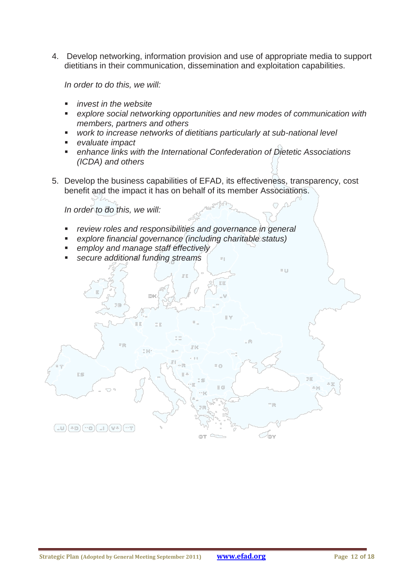4. Develop networking, information provision and use of appropriate media to support dietitians in their communication, dissemination and exploitation capabilities.

*In order to do this, we will:*

- *invest in the website*
- *explore social networking opportunities and new modes of communication with members, partners and others*
- *work to increase networks of dietitians particularly at sub-national level*
- *evaluate impact*
- *enhance links with the International Confederation of Dietetic Associations (ICDA) and others*
- 5. Develop the business capabilities of EFAD, its effectiveness, transparency, cost benefit and the impact it has on behalf of its member Associations.

*In order to do this, we will:*

- *review roles and responsibilities and governance in general*
- *explore financial governance (including charitable status)*
- *employ and manage staff effectively*
- *secure additional funding streams*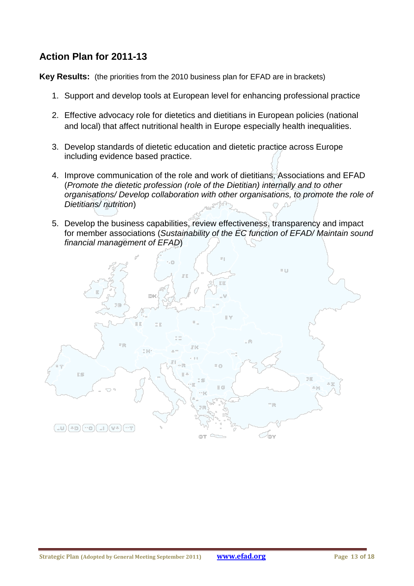## **Action Plan for 2011-13**

**Key Results:** (the priorities from the 2010 business plan for EFAD are in brackets)

- 1. Support and develop tools at European level for enhancing professional practice
- 2. Effective advocacy role for dietetics and dietitians in European policies (national and local) that affect nutritional health in Europe especially health inequalities.
- 3. Develop standards of dietetic education and dietetic practice across Europe including evidence based practice.
- 4. Improve communication of the role and work of dietitians, Associations and EFAD (*Promote the dietetic profession (role of the Dietitian) internally and to other organisations/ Develop collaboration with other organisations, to promote the role of Dietitians/ nutrition*)
- 5. Develop the business capabilities, review effectiveness, transparency and impact for member associations (*Sustainability of the EC function of EFAD/ Maintain sound financial management of EFAD*)

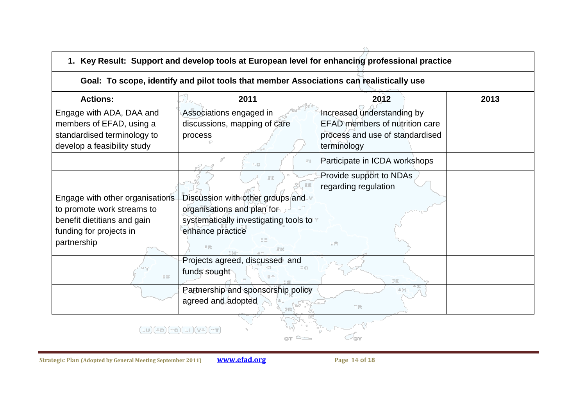| Goal: To scope, identify and pilot tools that member Associations can realistically use                                                |                                                                                                                             |                                                                                                                |      |
|----------------------------------------------------------------------------------------------------------------------------------------|-----------------------------------------------------------------------------------------------------------------------------|----------------------------------------------------------------------------------------------------------------|------|
| <b>Actions:</b>                                                                                                                        | 2011                                                                                                                        | 2012                                                                                                           | 2013 |
| Engage with ADA, DAA and<br>members of EFAD, using a<br>standardised terminology to<br>develop a feasibility study                     | Associations engaged in<br>discussions, mapping of care<br>process                                                          | Increased understanding by<br>EFAD members of nutrition care<br>process and use of standardised<br>terminology |      |
|                                                                                                                                        |                                                                                                                             | Participate in ICDA workshops                                                                                  |      |
|                                                                                                                                        |                                                                                                                             | Provide support to NDAs<br>regarding regulation                                                                |      |
| Engage with other organisations<br>to promote work streams to<br>benefit dietitians and gain<br>funding for projects in<br>partnership | Discussion with other groups and<br>organisations and plan for<br>systematically investigating tools to<br>enhance practice |                                                                                                                |      |
|                                                                                                                                        | Projects agreed, discussed and<br>funds sought                                                                              |                                                                                                                |      |
|                                                                                                                                        | Partnership and sponsorship policy<br>agreed and adopted                                                                    |                                                                                                                |      |

 $CT$  ==

**COY**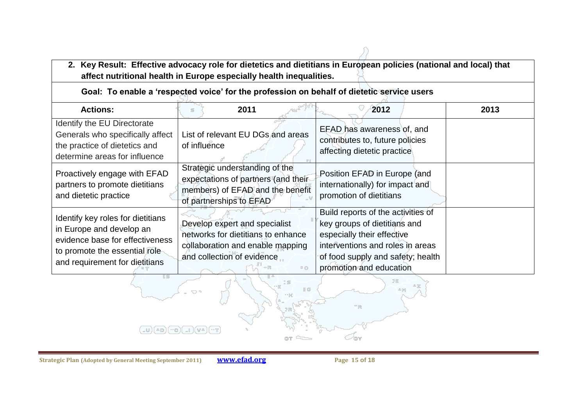#### **2. Key Result: Effective advocacy role for dietetics and dietitians in European policies (national and local) that affect nutritional health in Europe especially health inequalities.**

#### **Goal: To enable a 'respected voice' for the profession on behalf of dietetic service users**

| <b>Actions:</b>                                                                                                                                                     | 2011                                                                                                                                  | 2012                                                                                                                                                                                                 | 2013 |
|---------------------------------------------------------------------------------------------------------------------------------------------------------------------|---------------------------------------------------------------------------------------------------------------------------------------|------------------------------------------------------------------------------------------------------------------------------------------------------------------------------------------------------|------|
| Identify the EU Directorate<br>Generals who specifically affect<br>the practice of dietetics and<br>determine areas for influence                                   | List of relevant EU DGs and areas<br>of influence                                                                                     | EFAD has awareness of, and<br>contributes to, future policies<br>affecting dietetic practice                                                                                                         |      |
| Proactively engage with EFAD<br>partners to promote dietitians<br>and dietetic practice                                                                             | Strategic understanding of the<br>expectations of partners (and their<br>members) of EFAD and the benefit<br>of partnerships to EFAD  | Position EFAD in Europe (and<br>internationally) for impact and<br>promotion of dietitians                                                                                                           |      |
| Identify key roles for dietitians<br>in Europe and develop an<br>evidence base for effectiveness<br>to promote the essential role<br>and requirement for dietitians | Develop expert and specialist<br>networks for dietitians to enhance<br>collaboration and enable mapping<br>and collection of evidence | Build reports of the activities of<br>key groups of dietitians and<br>especially their effective<br>interventions and roles in areas<br>of food supply and safety; health<br>promotion and education |      |

OТ

ÎΟY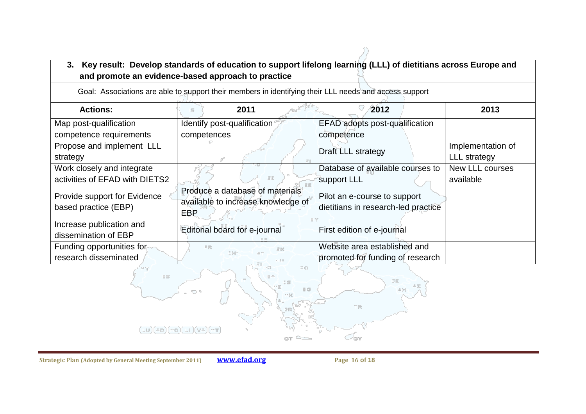#### **3. Key result: Develop standards of education to support lifelong learning (LLL) of dietitians across Europe and and promote an evidence-based approach to practice**

Goal: Associations are able to support their members in identifying their LLL needs and access support

| <b>Actions:</b>                                      | 2011                                                                                | 2012                                                                | 2013                              |
|------------------------------------------------------|-------------------------------------------------------------------------------------|---------------------------------------------------------------------|-----------------------------------|
| Map post-qualification<br>competence requirements    | Identify post-qualification<br>competences                                          | EFAD adopts post-qualification<br>competence                        |                                   |
| Propose and implement LLL<br>strategy                |                                                                                     | Draft LLL strategy                                                  | Implementation of<br>LLL strategy |
| Work closely and integrate                           |                                                                                     | Database of available courses to                                    | <b>New LLL courses</b>            |
| activities of EFAD with DIETS2                       |                                                                                     | support LLL                                                         | available                         |
| Provide support for Evidence<br>based practice (EBP) | Produce a database of materials<br>available to increase knowledge of<br><b>EBP</b> | Pilot an e-course to support<br>dietitians in research-led practice |                                   |
| Increase publication and<br>dissemination of EBP     | Editorial board for e-journal                                                       | First edition of e-journal                                          |                                   |
| Funding opportunities for<br>research disseminated   |                                                                                     | Website area established and<br>promoted for funding of research    |                                   |

OТ

ÎΟY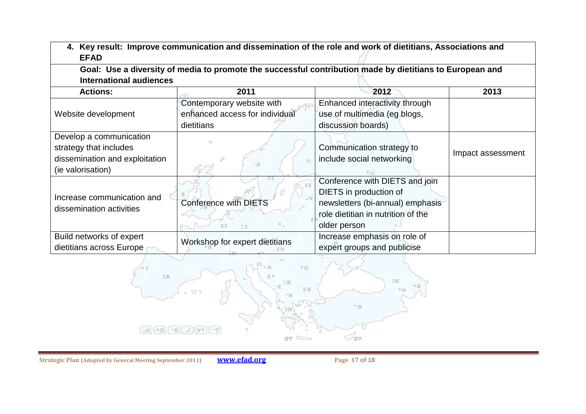|                                                                                                                         |                                                                           | 4. Key result: Improve communication and dissemination of the role and work of dietitians, Associations and                                        |                   |  |
|-------------------------------------------------------------------------------------------------------------------------|---------------------------------------------------------------------------|----------------------------------------------------------------------------------------------------------------------------------------------------|-------------------|--|
| <b>EFAD</b><br>Goal: Use a diversity of media to promote the successful contribution made by dietitians to European and |                                                                           |                                                                                                                                                    |                   |  |
|                                                                                                                         | <b>International audiences</b>                                            |                                                                                                                                                    |                   |  |
| <b>Actions:</b>                                                                                                         | 2011                                                                      | 2012                                                                                                                                               | 2013              |  |
| Website development                                                                                                     | Contemporary website with<br>enhanced access for individual<br>dietitians | Enhanced interactivity through<br>use of multimedia (eg blogs,<br>discussion boards)                                                               |                   |  |
| Develop a communication<br>strategy that includes<br>dissemination and exploitation<br>(ie valorisation)                |                                                                           | Communication strategy to<br>include social networking                                                                                             | Impact assessment |  |
| Increase communication and<br>dissemination activities                                                                  | <b>Conference with DIETS</b>                                              | Conference with DIETS and join<br>DIETS in production of<br>newsletters (bi-annual) emphasis<br>role dietitian in nutrition of the<br>older person |                   |  |
| Build networks of expert<br>dietitians across Europe                                                                    | Workshop for expert dietitians                                            | Increase emphasis on role of<br>expert groups and publicise                                                                                        |                   |  |

 $\sim$  ov OT.

 $\blacksquare$